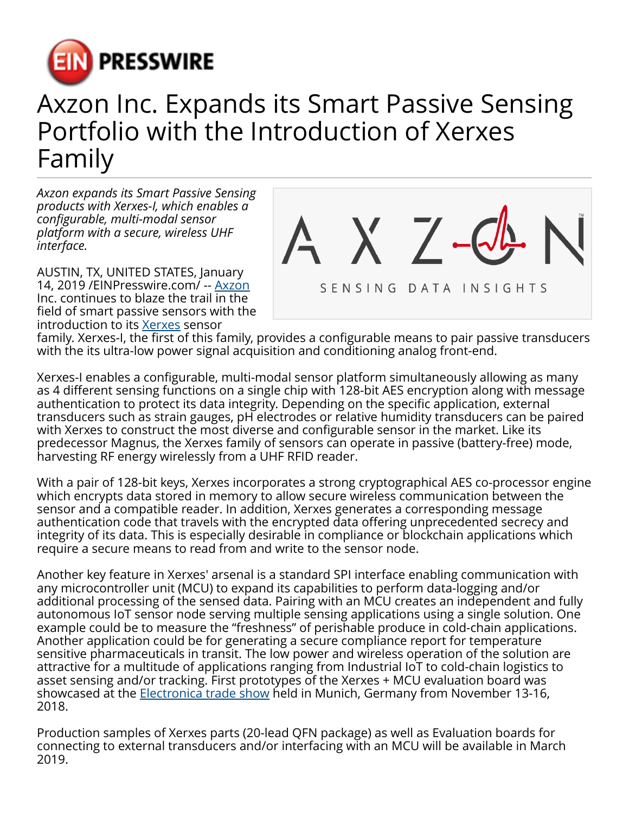

## Axzon Inc. Expands its Smart Passive Sensing Portfolio with the Introduction of Xerxes Family

*Axzon expands its Smart Passive Sensing products with Xerxes-I, which enables a configurable, multi-modal sensor platform with a secure, wireless UHF interface.*

AUSTIN, TX, UNITED STATES, January 14, 2019 /[EINPresswire.com/](http://www.einpresswire.com) -- [Axzon](http://axzon.com) Inc. continues to blaze the trail in the field of smart passive sensors with the introduction to its [Xerxes](http://axzon.com/silicon) sensor



family. Xerxes-I, the first of this family, provides a configurable means to pair passive transducers with the its ultra-low power signal acquisition and conditioning analog front-end.

Xerxes-I enables a configurable, multi-modal sensor platform simultaneously allowing as many as 4 different sensing functions on a single chip with 128-bit AES encryption along with message authentication to protect its data integrity. Depending on the specific application, external transducers such as strain gauges, pH electrodes or relative humidity transducers can be paired with Xerxes to construct the most diverse and configurable sensor in the market. Like its predecessor Magnus, the Xerxes family of sensors can operate in passive (battery-free) mode, harvesting RF energy wirelessly from a UHF RFID reader.

With a pair of 128-bit keys, Xerxes incorporates a strong cryptographical AES co-processor engine which encrypts data stored in memory to allow secure wireless communication between the sensor and a compatible reader. In addition, Xerxes generates a corresponding message authentication code that travels with the encrypted data offering unprecedented secrecy and integrity of its data. This is especially desirable in compliance or blockchain applications which require a secure means to read from and write to the sensor node.

Another key feature in Xerxes' arsenal is a standard SPI interface enabling communication with any microcontroller unit (MCU) to expand its capabilities to perform data-logging and/or additional processing of the sensed data. Pairing with an MCU creates an independent and fully autonomous IoT sensor node serving multiple sensing applications using a single solution. One example could be to measure the "freshness" of perishable produce in cold-chain applications. Another application could be for generating a secure compliance report for temperature sensitive pharmaceuticals in transit. The low power and wireless operation of the solution are attractive for a multitude of applications ranging from Industrial IoT to cold-chain logistics to asset sensing and/or tracking. First prototypes of the Xerxes + MCU evaluation board was showcased at the **Electronica trade show held in Munich**, Germany from November 13-16, 2018.

Production samples of Xerxes parts (20-lead QFN package) as well as Evaluation boards for connecting to external transducers and/or interfacing with an MCU will be available in March 2019.